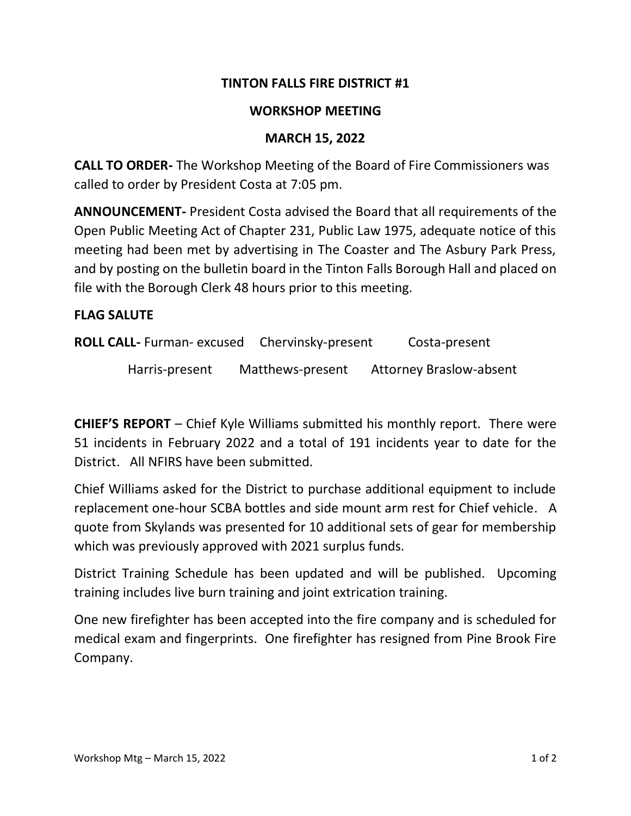## **TINTON FALLS FIRE DISTRICT #1**

### **WORKSHOP MEETING**

### **MARCH 15, 2022**

**CALL TO ORDER-** The Workshop Meeting of the Board of Fire Commissioners was called to order by President Costa at 7:05 pm.

**ANNOUNCEMENT-** President Costa advised the Board that all requirements of the Open Public Meeting Act of Chapter 231, Public Law 1975, adequate notice of this meeting had been met by advertising in The Coaster and The Asbury Park Press, and by posting on the bulletin board in the Tinton Falls Borough Hall and placed on file with the Borough Clerk 48 hours prior to this meeting.

#### **FLAG SALUTE**

**ROLL CALL-** Furman- excused Chervinsky-present Costa-present

Harris-present Matthews-present Attorney Braslow-absent

**CHIEF'S REPORT** – Chief Kyle Williams submitted his monthly report. There were 51 incidents in February 2022 and a total of 191 incidents year to date for the District. All NFIRS have been submitted.

Chief Williams asked for the District to purchase additional equipment to include replacement one-hour SCBA bottles and side mount arm rest for Chief vehicle. A quote from Skylands was presented for 10 additional sets of gear for membership which was previously approved with 2021 surplus funds.

District Training Schedule has been updated and will be published. Upcoming training includes live burn training and joint extrication training.

One new firefighter has been accepted into the fire company and is scheduled for medical exam and fingerprints. One firefighter has resigned from Pine Brook Fire Company.